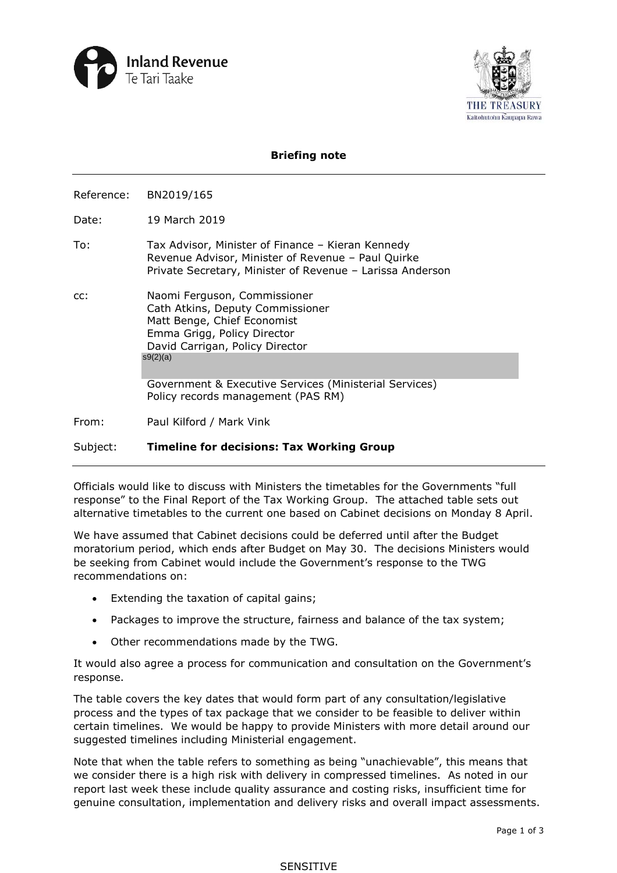



## **Briefing note**

Reference: BN2019/165

Date: 19 March 2019

- To: Tax Advisor, Minister of Finance Kieran Kennedy Revenue Advisor, Minister of Revenue – Paul Quirke Private Secretary, Minister of Revenue – Larissa Anderson
- cc: Naomi Ferguson, Commissioner Cath Atkins, Deputy Commissioner Matt Benge, Chief Economist Emma Grigg, Policy Director David Carrigan, Policy Director s9(2)(a)

 Government & Executive Services (Ministerial Services) Policy records management (PAS RM)

From: Paul Kilford / Mark Vink

Subject: **Timeline for decisions: Tax Working Group** 

 Officials would like to discuss with Ministers the timetables for the Governments "full response" to the Final Report of the Tax Working Group. The attached table sets out

alternative timetables to the current one based on Cabinet decisions on Monday 8 April.<br>We have assumed that Cabinet decisions could be deferred until after the Budget moratorium period, which ends after Budget on May 30. The decisions Ministers would be seeking from Cabinet would include the Government's response to the TWG recommendations on:

- Extending the taxation of capital gains;
- Packages to improve the structure, fairness and balance of the tax system;
- Other recommendations made by the TWG.

It would also agree a process for communication and consultation on the Government's response.

 certain timelines. We would be happy to provide Ministers with more detail around our The table covers the key dates that would form part of any consultation/legislative process and the types of tax package that we consider to be feasible to deliver within suggested timelines including Ministerial engagement.

 Note that when the table refers to something as being "unachievable", this means that genuine consultation, implementation and delivery risks and overall impact assessments. we consider there is a high risk with delivery in compressed timelines. As noted in our report last week these include quality assurance and costing risks, insufficient time for

## SENSITIVE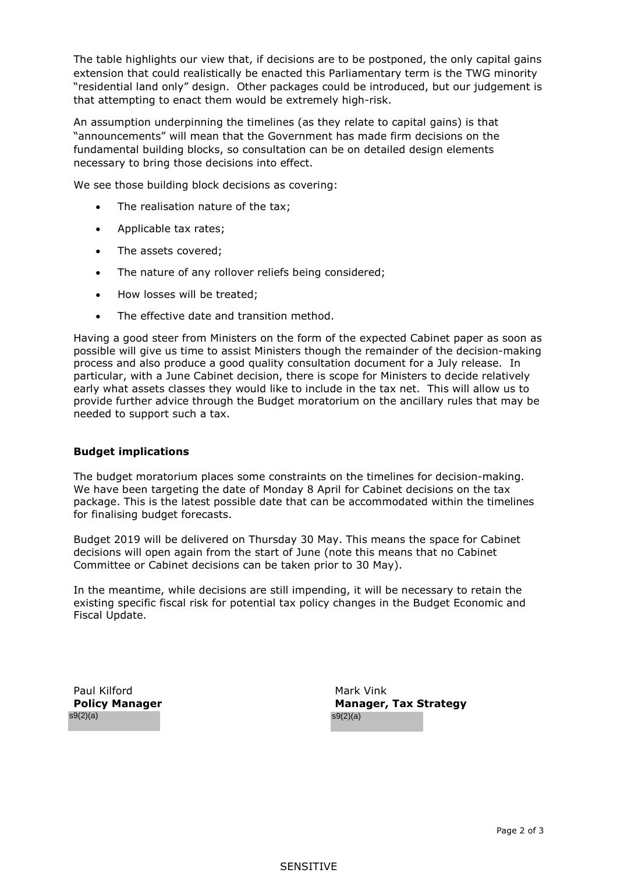that attempting to enact them would be extremely high-risk. The table highlights our view that, if decisions are to be postponed, the only capital gains extension that could realistically be enacted this Parliamentary term is the TWG minority "residential land only" design. Other packages could be introduced, but our judgement is

 "announcements" will mean that the Government has made firm decisions on the fundamental building blocks, so consultation can be on detailed design elements An assumption underpinning the timelines (as they relate to capital gains) is that necessary to bring those decisions into effect.

We see those building block decisions as covering:

- The realisation nature of the tax;
- Applicable tax rates;
- The assets covered;
- The nature of any rollover reliefs being considered;
- How losses will be treated;
- The effective date and transition method.

 • The effective date and transition method. Having a good steer from Ministers on the form of the expected Cabinet paper as soon as process and also produce a good quality consultation document for a July release. In needed to support such a tax. possible will give us time to assist Ministers though the remainder of the decision-making particular, with a June Cabinet decision, there is scope for Ministers to decide relatively early what assets classes they would like to include in the tax net. This will allow us to provide further advice through the Budget moratorium on the ancillary rules that may be

## **Budget implications**

The budget moratorium places some constraints on the timelines for decision-making. We have been targeting the date of Monday 8 April for Cabinet decisions on the tax package. This is the latest possible date that can be accommodated within the timelines for finalising budget forecasts.

 decisions will open again from the start of June (note this means that no Cabinet Committee or Cabinet decisions can be taken prior to 30 May). Budget 2019 will be delivered on Thursday 30 May. This means the space for Cabinet

 In the meantime, while decisions are still impending, it will be necessary to retain the existing specific fiscal risk for potential tax policy changes in the Budget Economic and Fiscal Update.

**Policy Manager**  $\mathsf{S9}(2)(a)$  s9(2)(a)

Paul Kilford **Mark Vink Mark Vink Manager, Tax Strategy**